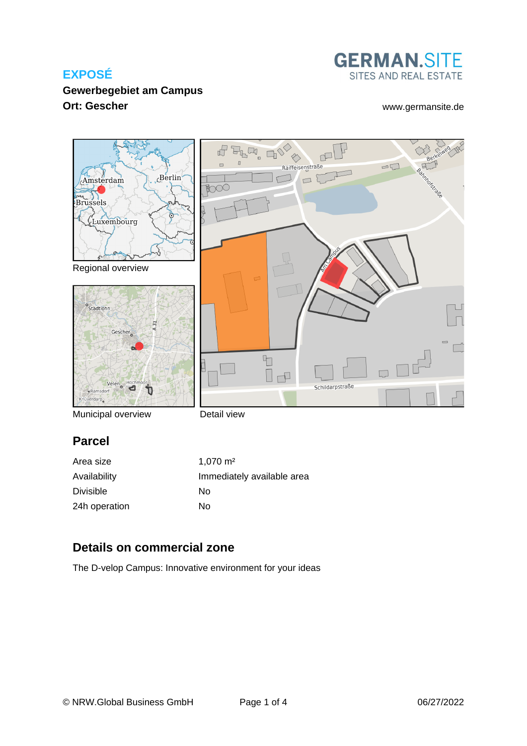

## **Gewerbegebiet am Campus Ort: Gescher** [www.germansite.de](http://www.germansite.de)



Municipal overview

Detail view

# **Parcel**

| Area size     | $1.070 \text{ m}^2$        |
|---------------|----------------------------|
| Availability  | Immediately available area |
| Divisible     | Nο                         |
| 24h operation | No                         |

## **Details on commercial zone**

The D-velop Campus: Innovative environment for your ideas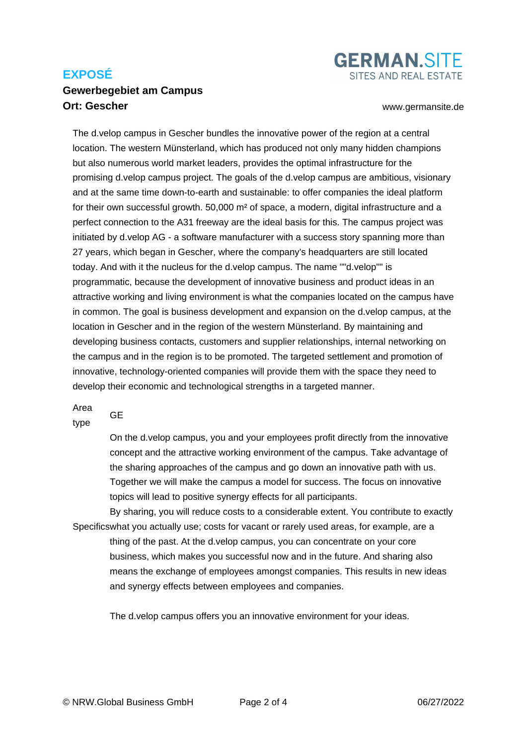### **Gewerbegebiet am Campus Ort: Gescher** [www.germansite.de](http://www.germansite.de)

**GERMAN.SITE** SITES AND REAL ESTATE

The d.velop campus in Gescher bundles the innovative power of the region at a central location. The western Münsterland, which has produced not only many hidden champions but also numerous world market leaders, provides the optimal infrastructure for the promising d.velop campus project. The goals of the d.velop campus are ambitious, visionary and at the same time down-to-earth and sustainable: to offer companies the ideal platform for their own successful growth. 50,000 m² of space, a modern, digital infrastructure and a perfect connection to the A31 freeway are the ideal basis for this. The campus project was initiated by d.velop AG - a software manufacturer with a success story spanning more than 27 years, which began in Gescher, where the company's headquarters are still located today. And with it the nucleus for the d.velop campus. The name ""d.velop"" is programmatic, because the development of innovative business and product ideas in an attractive working and living environment is what the companies located on the campus have in common. The goal is business development and expansion on the d.velop campus, at the location in Gescher and in the region of the western Münsterland. By maintaining and developing business contacts, customers and supplier relationships, internal networking on the campus and in the region is to be promoted. The targeted settlement and promotion of innovative, technology-oriented companies will provide them with the space they need to develop their economic and technological strengths in a targeted manner.

Area

GE

type

On the d.velop campus, you and your employees profit directly from the innovative concept and the attractive working environment of the campus. Take advantage of the sharing approaches of the campus and go down an innovative path with us. Together we will make the campus a model for success. The focus on innovative topics will lead to positive synergy effects for all participants.

Specifics what you actually use; costs for vacant or rarely used areas, for example, are a By sharing, you will reduce costs to a considerable extent. You contribute to exactly thing of the past. At the d.velop campus, you can concentrate on your core business, which makes you successful now and in the future. And sharing also means the exchange of employees amongst companies. This results in new ideas and synergy effects between employees and companies.

The d.velop campus offers you an innovative environment for your ideas.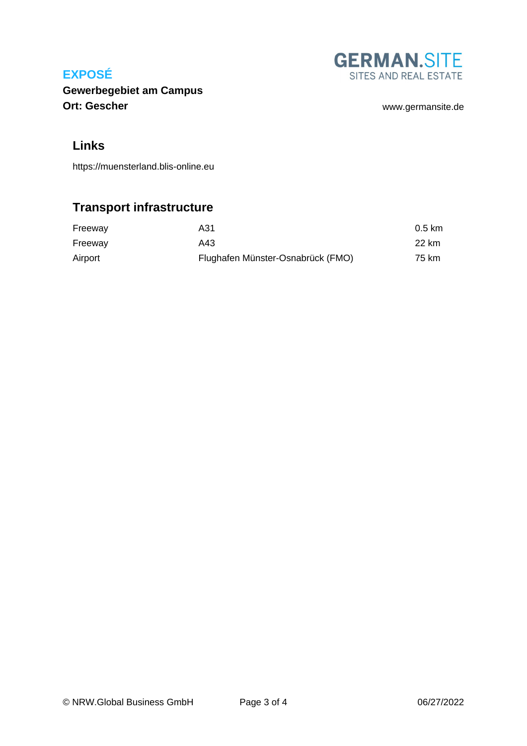

**Gewerbegebiet am Campus Ort: Gescher** [www.germansite.de](http://www.germansite.de)

## **Links**

<https://muensterland.blis-online.eu>

# **Transport infrastructure**

| Freeway | A31                               | $0.5 \text{ km}$ |
|---------|-----------------------------------|------------------|
| Freeway | A43                               | 22 km            |
| Airport | Flughafen Münster-Osnabrück (FMO) | 75 km            |